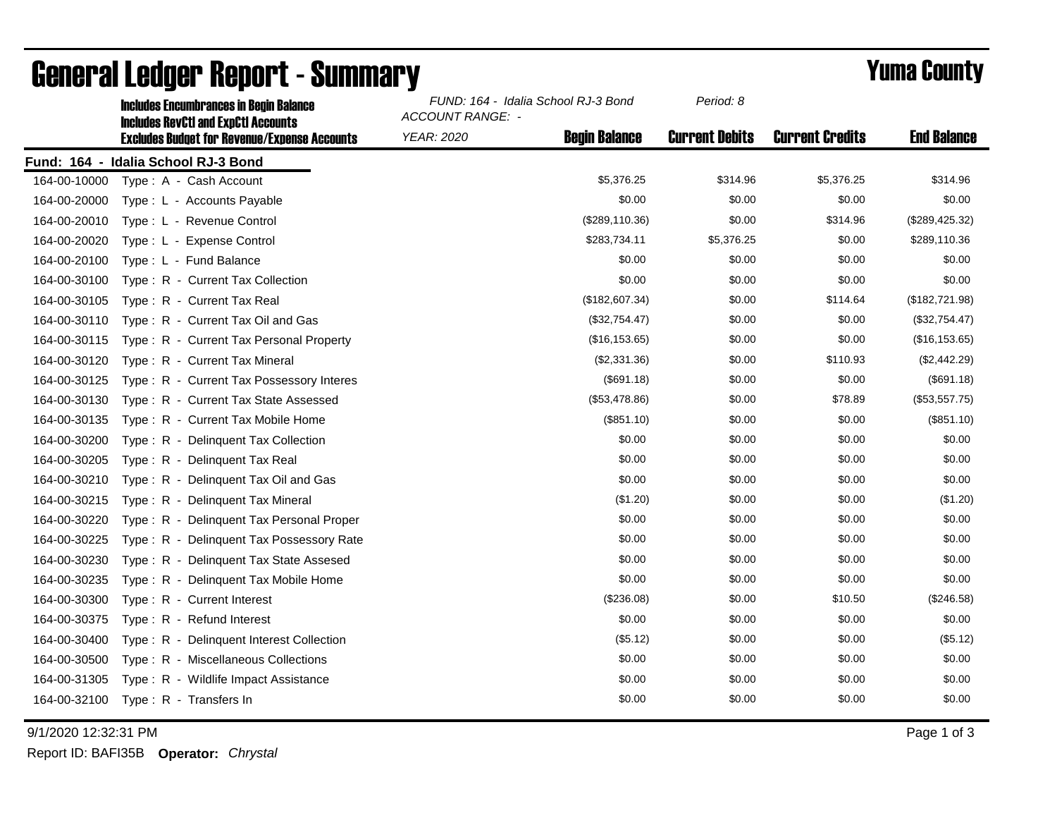|              | <b>Includes Encumbrances in Begin Balance</b><br><b>Includes RevCtI and ExpCtI Accounts</b><br><b>Excludes Budget for Revenue/Expense Accounts</b> | FUND: 164 - Idalia School RJ-3 Bond<br><b>ACCOUNT RANGE: -</b> |                      | Period: 8             |                        |                    |
|--------------|----------------------------------------------------------------------------------------------------------------------------------------------------|----------------------------------------------------------------|----------------------|-----------------------|------------------------|--------------------|
|              |                                                                                                                                                    | <b>YEAR: 2020</b>                                              | <b>Begin Balance</b> | <b>Current Debits</b> | <b>Current Credits</b> | <b>End Balance</b> |
|              | Fund: 164 - Idalia School RJ-3 Bond                                                                                                                |                                                                |                      |                       |                        |                    |
| 164-00-10000 | Type: A - Cash Account                                                                                                                             |                                                                | \$5,376.25           | \$314.96              | \$5,376.25             | \$314.96           |
| 164-00-20000 | Type: L - Accounts Payable                                                                                                                         |                                                                | \$0.00               | \$0.00                | \$0.00                 | \$0.00             |
| 164-00-20010 | Type: L - Revenue Control                                                                                                                          |                                                                | (\$289, 110.36)      | \$0.00                | \$314.96               | (\$289,425.32)     |
| 164-00-20020 | Type: L - Expense Control                                                                                                                          |                                                                | \$283,734.11         | \$5,376.25            | \$0.00                 | \$289,110.36       |
| 164-00-20100 | Type: L - Fund Balance                                                                                                                             |                                                                | \$0.00               | \$0.00                | \$0.00                 | \$0.00             |
| 164-00-30100 | Type: R - Current Tax Collection                                                                                                                   |                                                                | \$0.00               | \$0.00                | \$0.00                 | \$0.00             |
| 164-00-30105 | Type: R - Current Tax Real                                                                                                                         |                                                                | (\$182,607.34)       | \$0.00                | \$114.64               | (\$182,721.98)     |
| 164-00-30110 | Type: R - Current Tax Oil and Gas                                                                                                                  |                                                                | (\$32,754.47)        | \$0.00                | \$0.00                 | (\$32,754.47)      |
| 164-00-30115 | Type: R - Current Tax Personal Property                                                                                                            |                                                                | (\$16, 153.65)       | \$0.00                | \$0.00                 | (\$16, 153.65)     |
| 164-00-30120 | Type: R - Current Tax Mineral                                                                                                                      |                                                                | (\$2,331.36)         | \$0.00                | \$110.93               | (\$2,442.29)       |
| 164-00-30125 | Type: R - Current Tax Possessory Interes                                                                                                           |                                                                | (\$691.18)           | \$0.00                | \$0.00                 | (\$691.18)         |
| 164-00-30130 | Type: R - Current Tax State Assessed                                                                                                               |                                                                | (\$53,478.86)        | \$0.00                | \$78.89                | (\$53,557.75)      |
| 164-00-30135 | Type: R - Current Tax Mobile Home                                                                                                                  |                                                                | (\$851.10)           | \$0.00                | \$0.00                 | (\$851.10)         |
| 164-00-30200 | Type: R - Delinquent Tax Collection                                                                                                                |                                                                | \$0.00               | \$0.00                | \$0.00                 | \$0.00             |
| 164-00-30205 | Type: R - Delinguent Tax Real                                                                                                                      |                                                                | \$0.00               | \$0.00                | \$0.00                 | \$0.00             |
| 164-00-30210 | Type: R - Delinquent Tax Oil and Gas                                                                                                               |                                                                | \$0.00               | \$0.00                | \$0.00                 | \$0.00             |
| 164-00-30215 | Type: R - Delinquent Tax Mineral                                                                                                                   |                                                                | (\$1.20)             | \$0.00                | \$0.00                 | (\$1.20)           |
| 164-00-30220 | Type: R - Delinguent Tax Personal Proper                                                                                                           |                                                                | \$0.00               | \$0.00                | \$0.00                 | \$0.00             |
| 164-00-30225 | Type: R - Delinquent Tax Possessory Rate                                                                                                           |                                                                | \$0.00               | \$0.00                | \$0.00                 | \$0.00             |
| 164-00-30230 | Type: R - Delinquent Tax State Assesed                                                                                                             |                                                                | \$0.00               | \$0.00                | \$0.00                 | \$0.00             |
| 164-00-30235 | Type: R - Delinquent Tax Mobile Home                                                                                                               |                                                                | \$0.00               | \$0.00                | \$0.00                 | \$0.00             |
| 164-00-30300 | Type: R - Current Interest                                                                                                                         |                                                                | (\$236.08)           | \$0.00                | \$10.50                | (\$246.58)         |
| 164-00-30375 | Type: R - Refund Interest                                                                                                                          |                                                                | \$0.00               | \$0.00                | \$0.00                 | \$0.00             |
| 164-00-30400 | Type: R - Delinquent Interest Collection                                                                                                           |                                                                | (\$5.12)             | \$0.00                | \$0.00                 | (\$5.12)           |
| 164-00-30500 | Type: R - Miscellaneous Collections                                                                                                                |                                                                | \$0.00               | \$0.00                | \$0.00                 | \$0.00             |
| 164-00-31305 | Type: R - Wildlife Impact Assistance                                                                                                               |                                                                | \$0.00               | \$0.00                | \$0.00                 | \$0.00             |
| 164-00-32100 | Type: R - Transfers In                                                                                                                             |                                                                | \$0.00               | \$0.00                | \$0.00                 | \$0.00             |

## General Ledger Report - Summary **Example 2018** Yuma County

9/1/2020 12:32:31 PM Page 1 of 3

Report ID: BAFI35B **Operator:** *Chrystal*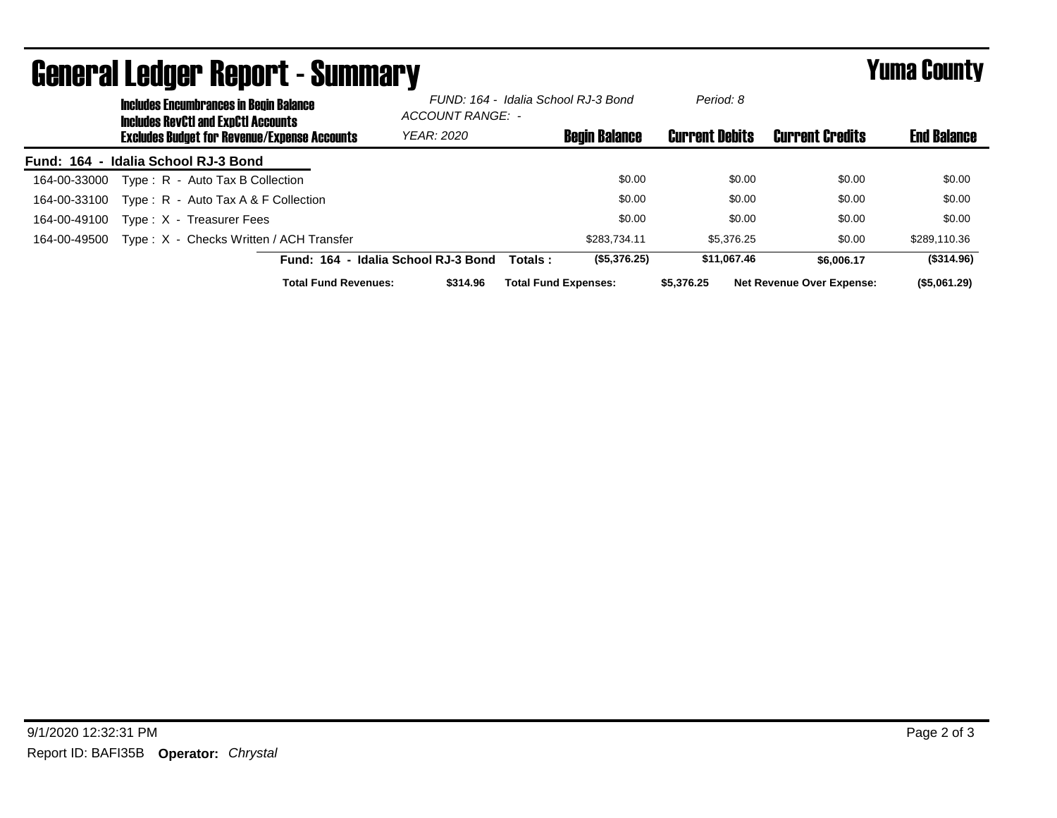| General Leuger Report - Summary |                                                                                             |                                     |                                                         |                             |                       | Tunia Gounty                     |                    |
|---------------------------------|---------------------------------------------------------------------------------------------|-------------------------------------|---------------------------------------------------------|-----------------------------|-----------------------|----------------------------------|--------------------|
|                                 | <b>Includes Encumbrances in Begin Balance</b><br><b>Includes RevCtI and ExpCtI Accounts</b> |                                     | FUND: 164 - Idalia School RJ-3 Bond<br>ACCOUNT RANGE: - |                             | Period: 8             |                                  |                    |
|                                 | <b>Excludes Budget for Revenue/Expense Accounts</b>                                         |                                     | <b>YEAR: 2020</b>                                       | <b>Begin Balance</b>        | <b>Current Debits</b> | <b>Current Credits</b>           | <b>End Balance</b> |
| <b>Fund: 164</b>                | - Idalia School RJ-3 Bond                                                                   |                                     |                                                         |                             |                       |                                  |                    |
| 164-00-33000                    | Type: R - Auto Tax B Collection                                                             |                                     |                                                         | \$0.00                      | \$0.00                | \$0.00                           | \$0.00             |
| 164-00-33100                    | Type: $R -$ Auto Tax A & F Collection                                                       |                                     |                                                         | \$0.00                      | \$0.00                | \$0.00                           | \$0.00             |
| 164-00-49100                    | Type: X - Treasurer Fees                                                                    |                                     |                                                         | \$0.00                      | \$0.00                | \$0.00                           | \$0.00             |
| 164-00-49500                    | Type: X - Checks Written / ACH Transfer                                                     |                                     |                                                         | \$283.734.11                | \$5,376,25            | \$0.00                           | \$289,110.36       |
|                                 |                                                                                             | Fund: 164 - Idalia School RJ-3 Bond |                                                         | (\$5,376.25)<br>Totals:     | \$11.067.46           | \$6,006.17                       | $($ \$314.96)      |
|                                 |                                                                                             | <b>Total Fund Revenues:</b>         | \$314.96                                                | <b>Total Fund Expenses:</b> | \$5,376.25            | <b>Net Revenue Over Expense:</b> | (\$5,061.29)       |

## General Ledger Report - Summary Yuma County